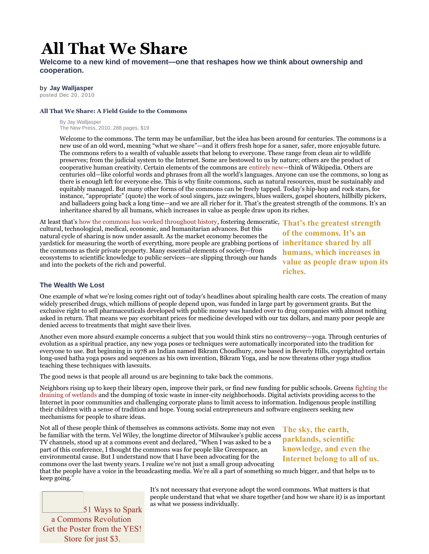# **All That We Share**

**Welcome to a new kind of movement—one that reshapes how we think about ownership and cooperation.**

by **Jay Walljasper**

posted Dec 20, 2010

### **[Al](http://www.powells.com/partner/23116/biblio/9781595584991)l That We Share: A Field Guide to the Commons**

By Jay Walljasper The New Press, 2010, 288 pages, \$19

Welcome to the commons. The term may be unfamiliar, but the idea has been around for centuries. The commons is a new use of an old word, meaning "what we share"—and it offers fresh hope for a saner, safer, more enjoyable future. The commons refers to a wealth of valuable assets that belong to everyone. These range from clean air to wildlife preserves; from the judicial system to the Internet. Some are bestowed to us by nature; others are the product of cooperative human creativity. Certain elements of the commons are [entirely new—](http://www.yesmagazine.org/people-power/better-than-facebook)think of Wikipedia. Others are centuries old—like colorful words and phrases from all the world's languages. Anyone can use the commons, so long as there is enough left for everyone else. This is why finite commons, such as natural resources, must be sustainably and equitably managed. But many other forms of the commons can be freely tapped. Today's hip-hop and rock stars, for instance, "appropriate" (quote) the work of soul singers, jazz swingers, blues wailers, gospel shouters, hillbilly pickers, and balladeers going back a long time—and we are all richer for it. That's the greatest strength of the commons. It's an inheritance shared by all humans, which increases in value as people draw upon its riches.

At least that's [how the commons has worked throughout history,](http://www.yesmagazine.org/issues/america-the-remix/elinor-ostrom-wins-nobel-for-common-s-sense) fostering democratic, **That's the greatest strength** cultural, technological, medical, economic, and humanitarian advances. But this natural cycle of sharing is now under assault. As the market economy becomes the yardstick for measuring the worth of everything, more people are grabbing portions of **inheritance shared by all** the commons as their private property. Many essential elements of society—from ecosystems to scientific knowledge to public services—are slipping through our hands and into the pockets of the rich and powerful.

**of the commons. It's an humans, which increases in value as people draw upon its riches.**

# **The Wealth We Lost**

One example of what we're losing comes right out of today's headlines about spiraling health care costs. The creation of many widely prescribed drugs, which millions of people depend upon, was funded in large part by government grants. But the exclusive right to sell pharmaceuticals developed with public money was handed over to drug companies with almost nothing asked in return. That means we pay exorbitant prices for medicine developed with our tax dollars, and many poor people are denied access to treatments that might save their lives.

Another even more absurd example concerns a subject that you would think stirs no controversy—yoga. Through centuries of evolution as a spiritual practice, any new yoga poses or techniques were automatically incorporated into the tradition for everyone to use. But beginning in 1978 an Indian named Bikram Choudhury, now based in Beverly Hills, copyrighted certain long-used hatha yoga poses and sequences as his own invention, Bikram Yoga, and he now threatens other yoga studios teaching these techniques with lawsuits.

The good news is that people all around us are beginning to take back the commons.

Neighbors rising up to keep their library open, improve their park, or find new funding for public schools. Greens [fighting the](http://www.yesmagazine.org/issues/water-solutions/river-rescue-citizen-riverkeepers-protect-their-waters) [draining of wetlands](http://www.yesmagazine.org/issues/water-solutions/river-rescue-citizen-riverkeepers-protect-their-waters) and the dumping of toxic waste in inner-city neighborhoods. Digital activists providing access to the Internet in poor communities and challenging corporate plans to limit access to information. Indigenous people instilling their children with a sense of tradition and hope. Young social entrepreneurs and software engineers seeking new mechanisms for people to share ideas.

Not all of these people think of themselves as commons activists. Some may not even be familiar with the term. Vel Wiley, the longtime director of Milwaukee's public access **parklands, scientific** TV channels, stood up at a commons event and declared, "When I was asked to be a part of this conference, I thought the commons was for people like Greenpeace, an environmental cause. But I understand now that I have been advocating for the commons over the last twenty years. I realize we're not just a small group advocating

**The sky, the earth, knowledge, and even the Internet belong to all of us.**

that the people have a voice in the broadcasting media. We're all a part of something so much bigger, and that helps us to keep going."

# [51 Ways to Spark](http://store.yesmagazine.org/other-products/51-ways-to-spark-commons-revolution-poster)

a Commons Revolution [Get the Poster from the YES!](http://store.yesmagazine.org/other-products/51-ways-to-spark-commons-revolution-poster) [Store for just \\$3.](http://store.yesmagazine.org/other-products/51-ways-to-spark-commons-revolution-poster)

It's not necessary that everyone adopt the word commons. What matters is that people understand that what we share together (and how we share it) is as important as what we possess individually.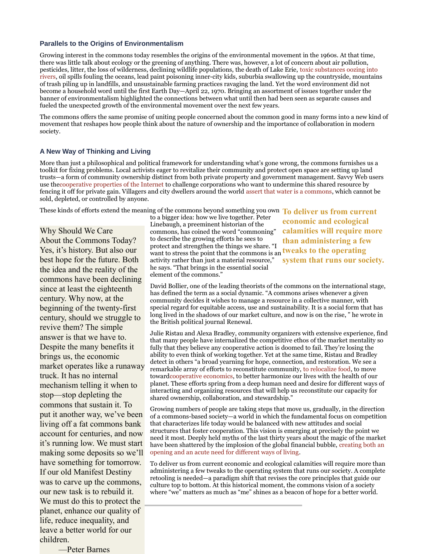#### **Parallels to the Origins of Environmentalism**

Growing interest in the commons today resembles the origins of the environmental movement in the 1960s. At that time, there was little talk about ecology or the greening of anything. There was, however, a lot of concern about air pollution, pesticides, litter, the loss of wilderness, declining wildlife populations, the death of Lake Erie, [toxic substances oozing into](http://www.yesmagazine.org/issues/water-solutions/protecting-our-water-commons-interview-with-robert-kennedy-jr) [rivers,](http://www.yesmagazine.org/issues/water-solutions/protecting-our-water-commons-interview-with-robert-kennedy-jr) oil spills fouling the oceans, lead paint poisoning inner-city kids, suburbia swallowing up the countryside, mountains of trash piling up in landfills, and unsustainable farming practices ravaging the land. Yet the word environment did not become a household word until the first Earth Day—April 22, 1970. Bringing an assortment of issues together under the banner of environmentalism highlighted the connections between what until then had been seen as separate causes and fueled the unexpected growth of the environmental movement over the next few years.

The commons offers the same promise of uniting people concerned about the common good in many forms into a new kind of movement that reshapes how people think about the nature of ownership and the importance of collaboration in modern society.

# **A New Way of Thinking and Living**

More than just a philosophical and political framework for understanding what's gone wrong, the commons furnishes us a toolkit for fixing problems. Local activists eager to revitalize their community and protect open space are setting up land trusts—a form of community ownership distinct from both private property and government management. Savvy Web users use th[ecooperative properties of the Internet](http://www.yesmagazine.org/people-power/organizing-in-the-internet-age) to challenge corporations who want to undermine this shared resource by fencing it off for private gain. Villagers and city dwellers around the world [assert that water is a commons,](http://www.yesmagazine.org/planet/advice-for-water-warriors) which cannot be sold, depleted, or controlled by anyone.

These kinds of efforts extend the meaning of the commons beyond something you own **To deliver us from current**

# Why Should We Care

About the Commons Today? Yes, it's history. But also our best hope for the future. Both the idea and the reality of the commons have been declining since at least the eighteenth century. Why now, at the beginning of the twenty-first century, should we struggle to revive them? The simple answer is that we have to. Despite the many benefits it brings us, the economic market operates like a runaway truck. It has no internal mechanism telling it when to stop—stop depleting the commons that sustain it. To put it another way, we've been living off a fat commons bank account for centuries, and now it's running low. We must start making some deposits so we'll have something for tomorrow. If our old Manifest Destiny was to carve up the commons, our new task is to rebuild it. We must do this to protect the planet, enhance our quality of life, reduce inequality, and leave a better world for our children.

—Peter Barnes

to a bigger idea: how we live together. Peter Linebaugh, a preeminent historian of the commons, has coined the word "commoning" to describe the growing efforts he sees to<br>protect and strengthen the things we share. "I protect and strengthen the things we share. "I want to stress the point that the commons is an **tweaks to the operating** activity rather than just a material resource," he says. "That brings in the essential social element of the commons."

**economic and ecological calamities will require more than administering a few system that runs our society.**

David Bollier, one of the leading theorists of the commons on the international stage, has defined the term as a social dynamic. "A commons arises whenever a given community decides it wishes to manage a resource in a collective manner, with special regard for equitable access, use and sustainability. It is a social form that has long lived in the shadows of our market culture, and now is on the rise, " he wrote in the British political journal Renewal.

Julie Ristau and Alexa Bradley, community organizers with extensive experience, find that many people have internalized the competitive ethos of the market mentality so fully that they believe any cooperative action is doomed to fail. They're losing the ability to even think of working together. Yet at the same time, Ristau and Bradley detect in others "a broad yearning for hope, connection, and restoration. We see a remarkable array of efforts to reconstitute community, [to relocalize food,](http://www.yesmagazine.org/blogs/vicki-robin-my-10-mile-diet/8-food-rules-from-my-10-mile-diet) to move towar[dcooperative economics,](http://www.yesmagazine.org/issues/the-new-economy/new-economy-new-ways-to-work) to better harmonize our lives with the health of our planet. These efforts spring from a deep human need and desire for different ways of interacting and organizing resources that will help us reconstitute our capacity for shared ownership, collaboration, and stewardship."

Growing numbers of people are taking steps that move us, gradually, in the direction of a commons-based society—a world in which the fundamental focus on competition that characterizes life today would be balanced with new attitudes and social structures that foster cooperation. This vision is emerging at precisely the point we need it most. Deeply held myths of the last thirty years about the magic of the market have been shattered by the implosion of the global financial bubble, [creating both an](http://www.yesmagazine.org/new-economy/building-community-an-economic-approach) [opening and an acute need for different ways of living.](http://www.yesmagazine.org/new-economy/building-community-an-economic-approach)

To deliver us from current economic and ecological calamities will require more than administering a few tweaks to the operating system that runs our society. A complete retooling is needed—a paradigm shift that revises the core principles that guide our culture top to bottom. At this historical moment, the commons vision of a society where "we" matters as much as "me" shines as a beacon of hope for a better world.